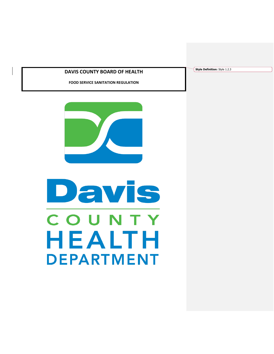# **DAVIS COUNTY BOARD OF HEALTH**

**FOOD SERVICE SANITATION REGULATION**



# Davis COUNTY HEALTH **DEPARTMENT**

**Style Definition:** Style 1.2.3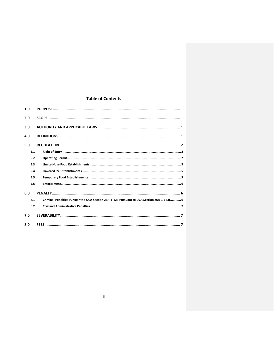## **Table of Contents**

| 1.0 |                                                                                           |
|-----|-------------------------------------------------------------------------------------------|
| 2.0 |                                                                                           |
| 3.0 |                                                                                           |
| 4.0 |                                                                                           |
| 5.0 |                                                                                           |
| 5.1 |                                                                                           |
| 5.2 |                                                                                           |
| 5.3 |                                                                                           |
| 5.4 |                                                                                           |
| 5.5 |                                                                                           |
| 5.6 |                                                                                           |
| 6.0 |                                                                                           |
| 6.1 | Criminal Penalties Pursuant to UCA Section 26A-1-123 Pursuant to UCA Section 26A-1-123: 6 |
| 6.2 |                                                                                           |
| 7.0 |                                                                                           |
| 8.0 |                                                                                           |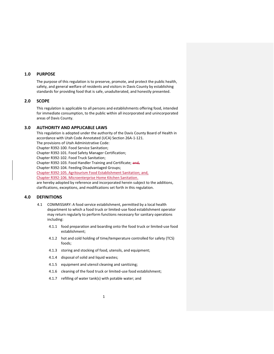## <span id="page-2-0"></span>**1.0 PURPOSE**

The purpose of this regulation is to preserve, promote, and protect the public health, safety, and general welfare of residents and visitors in Davis County by establishing standards for providing food that is safe, unadulterated, and honestly presented.

#### <span id="page-2-1"></span>**2.0 SCOPE**

This regulation is applicable to all persons and establishments offering food, intended for immediate consumption, to the public within all incorporated and unincorporated areas of Davis County.

## <span id="page-2-2"></span>**3.0 AUTHORITY AND APPLICABLE LAWS**

This regulation is adopted under the authority of the Davis County Board of Health in accordance with Utah Code Annotated (UCA) Section 26A-1-121.

The provisions of Utah Administrative Code:

Chapter R392-100. Food Service Sanitation;

Chapter R392-101. Food Safety Manager Certification;

Chapter R392-102. Food Truck Sanitation;

Chapter R392-103. Food Handler Training and Certificate; and,

Chapter R392-104. Feeding Disadvantaged Groups;

Chapter R392-105. Agritourism Food Establishment Sanitation; and,

Chapter R392-106. Microenterprise Home Kitchen Sanitation.

are hereby adopted by reference and incorporated herein subject to the additions, clarifications, exceptions, and modifications set forth in this regulation.

### <span id="page-2-3"></span>**4.0 DEFINITIONS**

- 4.1 COMMISSARY: A food service establishment, permitted by a local health department to which a food truck or limited-use food establishment operator may return regularly to perform functions necessary for sanitary operations including:
	- 4.1.1 food preparation and boarding onto the food truck or limited-use food establishment;
	- 4.1.2 hot and cold holding of time/temperature controlled for safety (TCS) foods;
	- 4.1.3 storing and stocking of food, utensils, and equipment;
	- 4.1.4 disposal of solid and liquid wastes;
	- 4.1.5 equipment and utensil cleaning and sanitizing;
	- 4.1.6 cleaning of the food truck or limited-use food establishment;
	- 4.1.7 refilling of water tank(s) with potable water; and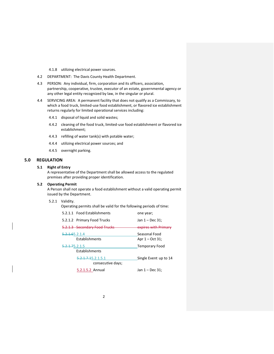4.1.8 utilizing electrical power sources.

- 4.2 DEPARTMENT: The Davis County Health Department.
- 4.3 PERSON: Any individual, firm, corporation and its officers, association, partnership, cooperative, trustee, executor of an estate, governmental agency or any other legal entity recognized by law, in the singular or plural.
- 4.4 SERVICING AREA: A permanent facility that does not qualify as a Commissary, to which a food truck, limited-use food establishment, or flavored ice establishment returns regularly for limited operational services including:
	- 4.4.1 disposal of liquid and solid wastes;
	- 4.4.2 cleaning of the food truck, limited-use food establishment or flavored ice establishment;
	- 4.4.3 refilling of water tank(s) with potable water;
	- 4.4.4 utilizing electrical power sources; and
	- 4.4.5 overnight parking.

## <span id="page-3-1"></span><span id="page-3-0"></span>**5.0 REGULATION**

#### **5.1 Right of Entry**

A representative of the Department shall be allowed access to the regulated premises after providing proper identification.

## <span id="page-3-2"></span>**5.2 Operating Permit**

A Person shall not operate a food establishment without a valid operating permit issued by the Department.

#### 5.2.1 Validity.

Operating permits shall be valid for the following periods of time:

| 5.2.1.1 Food Establishments   | one year;             |
|-------------------------------|-----------------------|
| 5.2.1.2 Primary Food Trucks   | Jan 1 – Dec 31;       |
| 5.2.1.3 Secondary Food Trucks | expires with Primary  |
| <del>5.2.1.6</del> 5.2.1.4    | Seasonal Food         |
| Establishments                | Apr $1 - Oct 31$ ;    |
|                               |                       |
| <del>5.2.1.7</del> 5.2.1.5    | <b>Temporary Food</b> |
| Establishments                |                       |
| 5.2.1.7.15.2.1.5.1            | Single Event up to 14 |
| consecutive days;             |                       |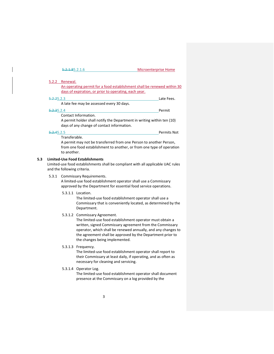5.2.1.85.2.1.6 Microenterprise Home

 $\mathsf{l}$ 

<span id="page-4-0"></span>

|       | 5.2.2 Renewal.              |                                                                                                                                                                                                                                                                                                                         |
|-------|-----------------------------|-------------------------------------------------------------------------------------------------------------------------------------------------------------------------------------------------------------------------------------------------------------------------------------------------------------------------|
|       |                             | An operating permit for a food establishment shall be renewed within 30                                                                                                                                                                                                                                                 |
|       |                             | days of expiration, or prior to operating, each year.                                                                                                                                                                                                                                                                   |
|       | 5.2.25.2.3                  | Late Fees.                                                                                                                                                                                                                                                                                                              |
|       |                             | A late fee may be assessed every 30 days.                                                                                                                                                                                                                                                                               |
|       | 5.2.35.2.4                  | Permit                                                                                                                                                                                                                                                                                                                  |
|       |                             | Contact Information.                                                                                                                                                                                                                                                                                                    |
|       |                             | A permit holder shall notify the Department in writing within ten (10)<br>days of any change of contact information.                                                                                                                                                                                                    |
|       | <b>5.2.45.2.5</b>           | <b>Permits Not</b>                                                                                                                                                                                                                                                                                                      |
|       | Transferable.               |                                                                                                                                                                                                                                                                                                                         |
|       | to another.                 | A permit may not be transferred from one Person to another Person,<br>from one food establishment to another, or from one type of operation                                                                                                                                                                             |
|       | and the following criteria. | <b>Limited-Use Food Establishments</b><br>Limited-use food establishments shall be compliant with all applicable UAC rules                                                                                                                                                                                              |
| 5.3.1 |                             | Commissary Requirements.<br>A limited-use food establishment operator shall use a Commissary<br>approved by the Department for essential food service operations.                                                                                                                                                       |
|       |                             | 5.3.1.1 Location.<br>The limited-use food establishment operator shall use a<br>Commissary that is conveniently located, as determined by the<br>Department.                                                                                                                                                            |
|       |                             | 5.3.1.2 Commissary Agreement.<br>The limited-use food establishment operator must obtain a<br>written, signed Commissary agreement from the Commissary<br>operator, which shall be renewed annually, and any changes to<br>the agreement shall be approved by the Department prior to<br>the changes being implemented. |
|       |                             | 5.3.1.3 Frequency.<br>The limited-use food establishment operator shall report to<br>their Commissary at least daily, if operating, and as often as<br>necessary for cleaning and servicing.                                                                                                                            |
|       |                             | 5.3.1.4 Operator Log.<br>The limited-use food establishment operator shall document<br>presence at the Commissary on a log provided by the                                                                                                                                                                              |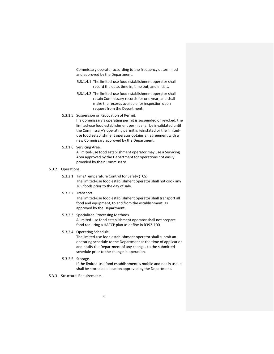Commissary operator according to the frequency determined and approved by the Department.

- 5.3.1.4.1 The limited-use food establishment operator shall record the date, time in, time out, and initials.
- 5.3.1.4.2 The limited-use food establishment operator shall retain Commissary records for one year, and shall make the records available for inspection upon request from the Department.
- 5.3.1.5 Suspension or Revocation of Permit.

If a Commissary's operating permit is suspended or revoked, the limited-use food establishment permit shall be invalidated until the Commissary's operating permit is reinstated or the limiteduse food establishment operator obtains an agreement with a new Commissary approved by the Department.

5.3.1.6 Servicing Area.

A limited-use food establishment operator may use a Servicing Area approved by the Department for operations not easily provided by their Commissary.

## 5.3.2 Operations.

- 5.3.2.1 Time/Temperature Control for Safety (TCS). The limited-use food establishment operator shall not cook any TCS foods prior to the day of sale.
- 5.3.2.2 Transport.

The limited-use food establishment operator shall transport all food and equipment, to and from the establishment, as approved by the Department.

5.3.2.3 Specialized Processing Methods.

A limited-use food establishment operator shall not prepare food requiring a HACCP plan as define in R392-100.

5.3.2.4 Operating Schedule.

The limited-use food establishment operator shall submit an operating schedule to the Department at the time of application and notify the Department of any changes to the submitted schedule prior to the change in operation.

5.3.2.5 Storage.

If the limited-use food establishment is mobile and not in use, it shall be stored at a location approved by the Department.

5.3.3 Structural Requirements.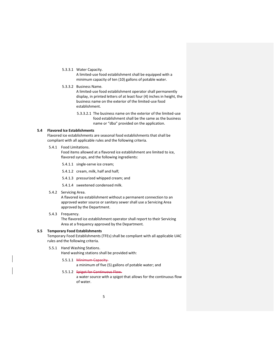5.3.3.1 Water Capacity.

A limited-use food establishment shall be equipped with a minimum capacity of ten (10) gallons of potable water.

5.3.3.2 Business Name.

A limited-use food establishment operator shall permanently display, in printed letters of at least four (4) inches in height, the business name on the exterior of the limited-use food establishment.

5.3.3.2.1 The business name on the exterior of the limited-use food establishment shall be the same as the business name or "dba" provided on the application.

#### <span id="page-6-0"></span>**5.4 Flavored Ice Establishments**

Flavored ice establishments are seasonal food establishments that shall be compliant with all applicable rules and the following criteria.

5.4.1 Food Limitations.

Food items allowed at a flavored ice establishment are limited to ice, flavored syrups, and the following ingredients:

5.4.1.1 single-serve ice cream;

5.4.1.2 cream, milk, half and half;

5.4.1.3 pressurized whipped cream; and

5.4.1.4 sweetened condensed milk.

5.4.2 Servicing Area.

A flavored ice establishment without a permanent connection to an approved water source or sanitary sewer shall use a Servicing Area approved by the Department.

5.4.3 Frequency.

The flavored ice establishment operator shall report to their Servicing Area at a frequency approved by the Department.

#### <span id="page-6-1"></span>**5.5 Temporary Food Establishments**

Temporary Food Establishments (TFEs) shall be compliant with all applicable UAC rules and the following criteria.

- 5.5.1 Hand Washing Stations. Hand washing stations shall be provided with:
	- 5.5.1.1 Minimum Capacity.
		- a minimum of five (5) gallons of potable water; and

#### 5.5.1.2 Spigot for Continuous Flow.

a water source with a spigot that allows for the continuous flow of water.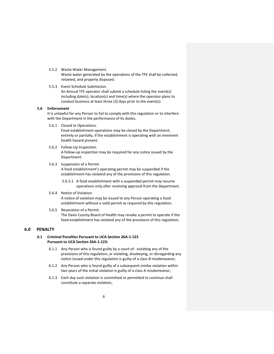- 5.5.2 Waste Water Management. Waste water generated by the operations of the TFE shall be collected, retained, and properly disposed.
- 5.5.3 Event Schedule Submission. An Annual TFE operator shall submit a schedule listing the event(s) including date(s), location(s) and time(s) where the operator plans to conduct business at least three (3) days prior to the event(s).

#### <span id="page-7-0"></span>**5.6 Enforcement**

It is unlawful for any Person to fail to comply with this regulation or to interfere with the Department in the performance of its duties.

5.6.1 Closed to Operations.

Food establishment operations may be closed by the Department, entirely or partially, if the establishment is operating with an imminent health hazard present.

5.6.2 Follow-Up Inspection.

A follow-up inspection may be required for any notice issued by the Department.

5.6.3 Suspension of a Permit.

A food establishment's operating permit may be suspended if the establishment has violated any of the provisions of this regulation.

- 5.6.3.1 A food establishment with a suspended permit may resume operations only after receiving approval from the Department.
- 5.6.4 Notice of Violation. A notice of violation may be issued to any Person operating a food establishment without a valid permit as required by this regulation.
- 5.6.5 Revocation of a Permit. The Davis County Board of Health may revoke a permit to operate if the food establishment has violated any of the provisions of this regulation.

## <span id="page-7-2"></span><span id="page-7-1"></span>**6.0 PENALTY**

#### **6.1 Criminal Penalties Pursuant to UCA Section 26A-1-123 Pursuant to UCA Section 26A-1-123:**

- 6.1.1 Any Person who is found guilty by a court of: violating any of the provisions of this regulation; or violating, disobeying, or disregarding any notice issued under this regulation is guilty of a class B misdemeanor;
- 6.1.2 Any Person who is found guilty of a subsequent similar violation within two years of the initial violation is guilty of a class A misdemeanor;
- 6.1.3 Each day such violation is committed or permitted to continue shall constitute a separate violation;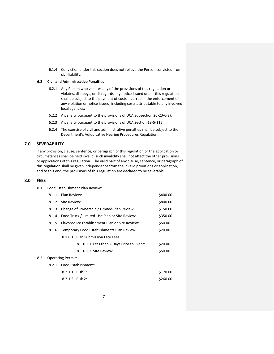6.1.4 Conviction under this section does not relieve the Person convicted from civil liability.

#### <span id="page-8-0"></span>**6.2 Civil and Administrative Penalties**

8.1 Food Establishment Plan Review:

- 6.2.1 Any Person who violates any of the provisions of this regulation or violates, disobeys, or disregards any notice issued under this regulation shall be subject to the payment of costs incurred in the enforcement of any violation or notice issued, including costs attributable to any involved local agencies;
- 6.2.2 A penalty pursuant to the provisions of UCA Subsection 26-23-6(2).
- 6.2.3 A penalty pursuant to the provisions of UCA Section 19-5-115.
- 6.2.4 The exercise of civil and administrative penalties shall be subject to the Department's Adjudicative Hearing Procedures Regulation.

## <span id="page-8-1"></span>**7.0 SEVERABILITY**

If any provision, clause, sentence, or paragraph of this regulation or the application or circumstances shall be held invalid, such invalidity shall not affect the other provisions or applications of this regulation. The valid part of any clause, sentence, or paragraph of this regulation shall be given independence from the invalid provisions or application, and to this end, the provisions of this regulation are declared to be severable.

#### <span id="page-8-2"></span>**8.0 FEES**

 $8.2$ 

|       | 8.1.1 Plan Review:        |                                                 | \$400.00 |
|-------|---------------------------|-------------------------------------------------|----------|
|       | 8.1.2 Site Review:        |                                                 | \$800.00 |
| 8.1.3 |                           | Change of Ownership / Limited-Plan Review:      | \$150.00 |
| 8.1.4 |                           | Food Truck / Limited-Use Plan or Site Review:   | \$350.00 |
| 8.1.5 |                           | Flavored Ice Establishment Plan or Site Review: | \$50.00  |
| 8.1.6 |                           | Temporary Food Establishments Plan Review:      | \$20.00  |
|       |                           | 8.1.6.1 Plan Submission Late Fees:              |          |
|       |                           | 8.1.6.1.1 Less than 2 Days Prior to Event:      | \$20.00  |
|       |                           | 8.1.6.1.2 Site Review:                          | \$50.00  |
|       | <b>Operating Permits:</b> |                                                 |          |
|       |                           | 8.2.1 Food Establishment:                       |          |
|       | 8.2.1.1 Risk 1:           |                                                 | \$170.00 |
|       | 8.2.1.2 Risk 2:           |                                                 | \$260.00 |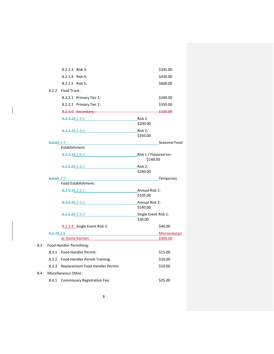|     | 8.2.1.3 Risk 3:                                                                                                                                                                                                                     | \$345.00                           |
|-----|-------------------------------------------------------------------------------------------------------------------------------------------------------------------------------------------------------------------------------------|------------------------------------|
|     | 8.2.1.4 Risk 4:                                                                                                                                                                                                                     | \$430.00                           |
|     | 8.2.1.5 Risk 5:                                                                                                                                                                                                                     | \$600.00                           |
|     | 8.2.2<br>Food Truck:                                                                                                                                                                                                                |                                    |
|     | 8.2.2.1 Primary Tier 1:                                                                                                                                                                                                             | \$200.00                           |
|     | 8.2.2.2 Primary Tier 2:                                                                                                                                                                                                             | \$350.00                           |
|     |                                                                                                                                                                                                                                     | \$100.00                           |
|     | 8.2.4.18.2.3.1 Risk 1:                                                                                                                                                                                                              | \$200.00                           |
|     | 8.2.4.28.2.3.2                                                                                                                                                                                                                      | Risk 2:<br>\$350.00                |
|     | <del>8.2.5</del> 8.2.4                                                                                                                                                                                                              | Seasonal Food                      |
|     | Establishment:                                                                                                                                                                                                                      |                                    |
|     | 8.2.5.18.2.4.1                                                                                                                                                                                                                      | Risk 1 / Flavored Ice:<br>\$140.00 |
|     | 8.2.5.28.2.4.2                                                                                                                                                                                                                      | Risk 2:<br>\$260.00                |
|     | <del>8.2.6</del> 8.2.5                                                                                                                                                                                                              | <b>Example 2018</b> Temporary      |
|     | Food Establishment:                                                                                                                                                                                                                 |                                    |
|     | 8.2.6.18.2.5.1                                                                                                                                                                                                                      | Annual Risk 1:<br>\$105.00         |
|     |                                                                                                                                                                                                                                     |                                    |
|     | 8.2.6.28.2.5.2 Annual Risk 2:                                                                                                                                                                                                       | \$140.00                           |
|     | <del>8.2.6.3</del> 8.2.5.3                                                                                                                                                                                                          | Single Event Risk 1:<br>\$30.00    |
|     | 8.2.5.4 Single Event Risk 2:                                                                                                                                                                                                        | \$40.00                            |
|     | <b>8.2.78.2.6</b> and the set of the set of the set of the set of the set of the set of the set of the set of the set of the set of the set of the set of the set of the set of the set of the set of the set of the set of the set | Microenterpri                      |
|     | se Home Kitchen:                                                                                                                                                                                                                    | \$300.00                           |
| 8.3 | Food Handler Permitting:                                                                                                                                                                                                            |                                    |
|     | 8.3.1 Food Handler Permit:                                                                                                                                                                                                          | \$15.00                            |
|     | 8.3.2 Food Handler Permit Training:                                                                                                                                                                                                 | \$10.00                            |
|     | Replacement Food Handler Permit:<br>8.3.3                                                                                                                                                                                           | \$10.00                            |
| 8.4 | Miscellaneous Other:                                                                                                                                                                                                                |                                    |